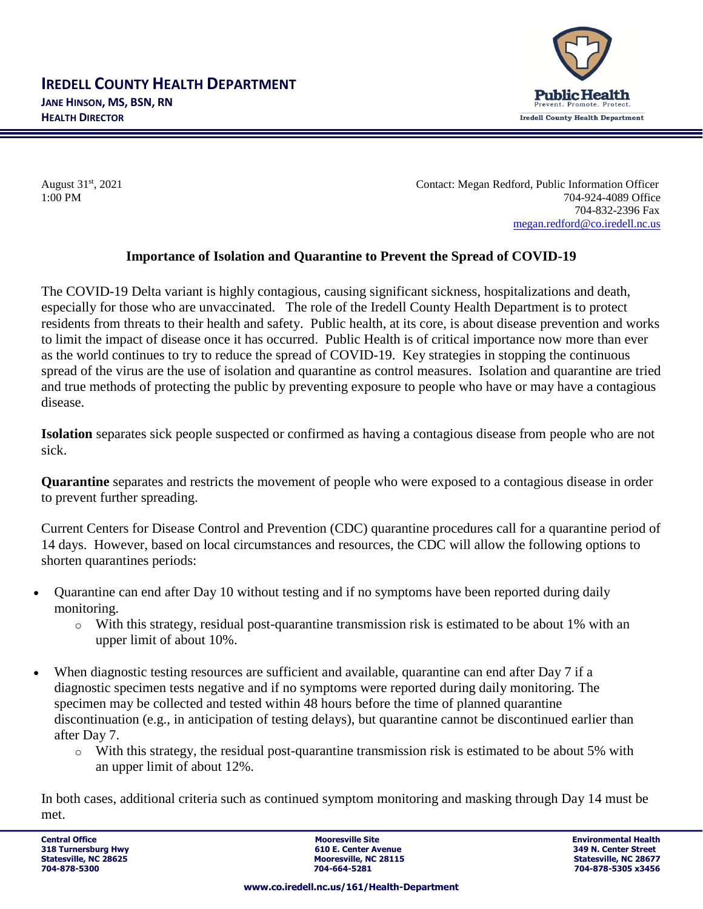

August 31st, 2021 Contact: Megan Redford, Public Information Officer 1:00 PM 704-924-4089 Office 704-832-2396 Fax [megan.redford@co.iredell.nc.us](mailto:megan.redford@co.iredell.nc.us)

## **Importance of Isolation and Quarantine to Prevent the Spread of COVID-19**

The COVID-19 Delta variant is highly contagious, causing significant sickness, hospitalizations and death, especially for those who are unvaccinated. The role of the Iredell County Health Department is to protect residents from threats to their health and safety. Public health, at its core, is about disease prevention and works to limit the impact of disease once it has occurred. Public Health is of critical importance now more than ever as the world continues to try to reduce the spread of COVID-19. Key strategies in stopping the continuous spread of the virus are the use of isolation and quarantine as control measures. Isolation and quarantine are tried and true methods of protecting the public by preventing exposure to people who have or may have a contagious disease.

**Isolation** separates sick people suspected or confirmed as having a contagious disease from people who are not sick.

**Quarantine** separates and restricts the movement of people who were exposed to a contagious disease in order to prevent further spreading.

Current Centers for Disease Control and Prevention (CDC) quarantine procedures call for a quarantine period of 14 days. However, based on local circumstances and resources, the CDC will allow the following options to shorten quarantines periods:

- Quarantine can end after Day 10 without testing and if no symptoms have been reported during daily monitoring.
	- o With this strategy, residual post-quarantine transmission risk is estimated to be about 1% with an upper limit of about 10%.
- When diagnostic testing resources are sufficient and available*,* quarantine can end after Day 7 if a diagnostic specimen tests negative and if no symptoms were reported during daily monitoring. The specimen may be collected and tested within 48 hours before the time of planned quarantine discontinuation (e.g., in anticipation of testing delays), but quarantine cannot be discontinued earlier than after Day 7.
	- o With this strategy, the residual post-quarantine transmission risk is estimated to be about 5% with an upper limit of about 12%.

In both cases, additional criteria such as continued symptom monitoring and masking through Day 14 must be met.